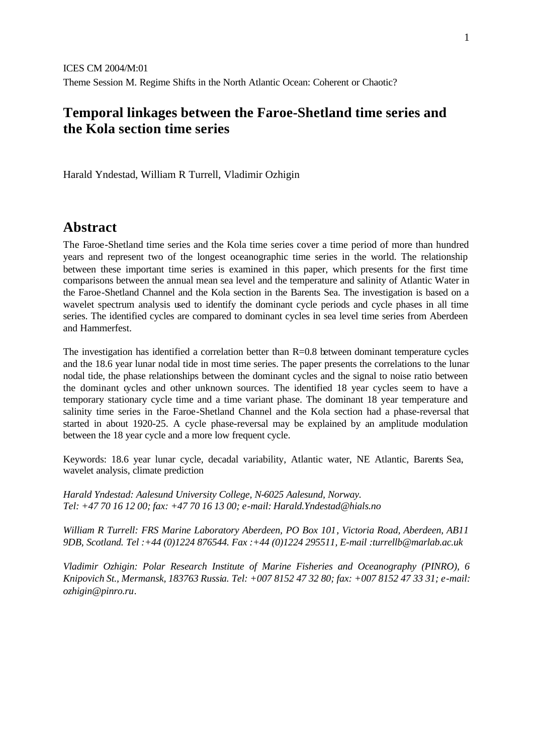## **Temporal linkages between the Faroe-Shetland time series and the Kola section time series**

Harald Yndestad, William R Turrell, Vladimir Ozhigin

## **Abstract**

The Faroe-Shetland time series and the Kola time series cover a time period of more than hundred years and represent two of the longest oceanographic time series in the world. The relationship between these important time series is examined in this paper, which presents for the first time comparisons between the annual mean sea level and the temperature and salinity of Atlantic Water in the Faroe-Shetland Channel and the Kola section in the Barents Sea. The investigation is based on a wavelet spectrum analysis used to identify the dominant cycle periods and cycle phases in all time series. The identified cycles are compared to dominant cycles in sea level time series from Aberdeen and Hammerfest.

The investigation has identified a correlation better than  $R=0.8$  between dominant temperature cycles and the 18.6 year lunar nodal tide in most time series. The paper presents the correlations to the lunar nodal tide, the phase relationships between the dominant cycles and the signal to noise ratio between the dominant cycles and other unknown sources. The identified 18 year cycles seem to have a temporary stationary cycle time and a time variant phase. The dominant 18 year temperature and salinity time series in the Faroe-Shetland Channel and the Kola section had a phase-reversal that started in about 1920-25. A cycle phase-reversal may be explained by an amplitude modulation between the 18 year cycle and a more low frequent cycle.

Keywords: 18.6 year lunar cycle, decadal variability, Atlantic water, NE Atlantic, Barents Sea, wavelet analysis, climate prediction

*Harald Yndestad: Aalesund University College, N-6025 Aalesund, Norway. Tel: +47 70 16 12 00; fax: +47 70 16 13 00; e-mail: Harald.Yndestad@hials.no*

*William R Turrell: FRS Marine Laboratory Aberdeen, PO Box 101, Victoria Road, Aberdeen, AB11 9DB, Scotland. Tel :+44 (0)1224 876544. Fax :+44 (0)1224 295511, E-mail :turrellb@marlab.ac.uk*

*Vladimir Ozhigin: Polar Research Institute of Marine Fisheries and Oceanography (PINRO), 6 Knipovich St., Mermansk, 183763 Russia. Tel: +007 8152 47 32 80; fax: +007 8152 47 33 31; e-mail: ozhigin@pinro.ru.*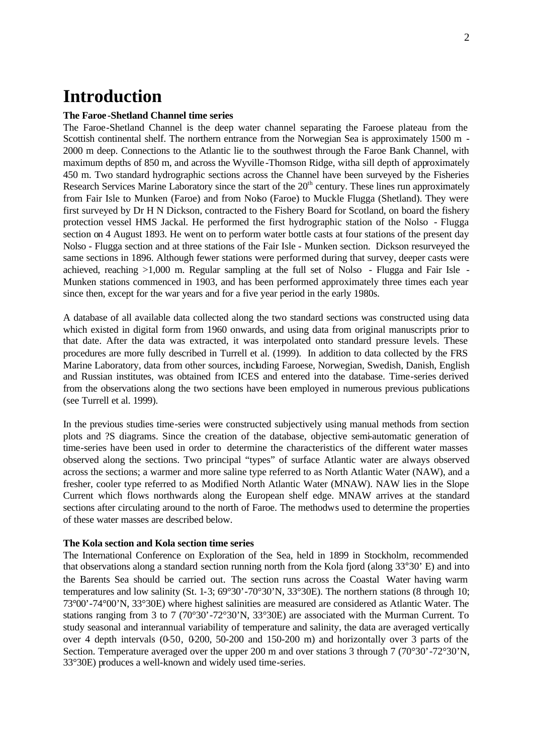# **Introduction**

### **The Faroe -Shetland Channel time series**

The Faroe-Shetland Channel is the deep water channel separating the Faroese plateau from the Scottish continental shelf. The northern entrance from the Norwegian Sea is approximately 1500 m -2000 m deep. Connections to the Atlantic lie to the southwest through the Faroe Bank Channel, with maximum depths of 850 m, and across the Wyville -Thomson Ridge, witha sill depth of approximately 450 m. Two standard hydrographic sections across the Channel have been surveyed by the Fisheries Research Services Marine Laboratory since the start of the 20<sup>th</sup> century. These lines run approximately from Fair Isle to Munken (Faroe) and from Nolso (Faroe) to Muckle Flugga (Shetland). They were first surveyed by Dr H N Dickson, contracted to the Fishery Board for Scotland, on board the fishery protection vessel HMS Jackal. He performed the first hydrographic station of the Nolso - Flugga section on 4 August 1893. He went on to perform water bottle casts at four stations of the present day Nolso - Flugga section and at three stations of the Fair Isle - Munken section. Dickson resurveyed the same sections in 1896. Although fewer stations were performed during that survey, deeper casts were achieved, reaching >1,000 m. Regular sampling at the full set of Nolso - Flugga and Fair Isle - Munken stations commenced in 1903, and has been performed approximately three times each year since then, except for the war years and for a five year period in the early 1980s.

A database of all available data collected along the two standard sections was constructed using data which existed in digital form from 1960 onwards, and using data from original manuscripts prior to that date. After the data was extracted, it was interpolated onto standard pressure levels. These procedures are more fully described in Turrell et al. (1999). In addition to data collected by the FRS Marine Laboratory, data from other sources, including Faroese, Norwegian, Swedish, Danish, English and Russian institutes, was obtained from ICES and entered into the database. Time-series derived from the observations along the two sections have been employed in numerous previous publications (see Turrell et al. 1999).

In the previous studies time-series were constructed subjectively using manual methods from section plots and ?S diagrams. Since the creation of the database, objective semi-automatic generation of time-series have been used in order to determine the characteristics of the different water masses observed along the sections. Two principal "types" of surface Atlantic water are always observed across the sections; a warmer and more saline type referred to as North Atlantic Water (NAW), and a fresher, cooler type referred to as Modified North Atlantic Water (MNAW). NAW lies in the Slope Current which flows northwards along the European shelf edge. MNAW arrives at the standard sections after circulating around to the north of Faroe. The methodws used to determine the properties of these water masses are described below.

### **The Kola section and Kola section time series**

The International Conference on Exploration of the Sea, held in 1899 in Stockholm, recommended that observations along a standard section running north from the Kola fjord (along 33°30' E) and into the Barents Sea should be carried out. The section runs across the Coastal Water having warm temperatures and low salinity (St. 1-3; 69°30'-70°30'N, 33°30E). The northern stations (8 through 10; 73°00'-74°00'N, 33°30E) where highest salinities are measured are considered as Atlantic Water. The stations ranging from 3 to 7 (70°30'-72°30'N, 33°30E) are associated with the Murman Current. To study seasonal and interannual variability of temperature and salinity, the data are averaged vertically over 4 depth intervals  $(0.50, 0.200, 50.200, 1.50)$  and  $150-200$  m) and horizontally over 3 parts of the Section. Temperature averaged over the upper 200 m and over stations 3 through 7 (70°30'-72°30'N, 33°30E) produces a well-known and widely used time-series.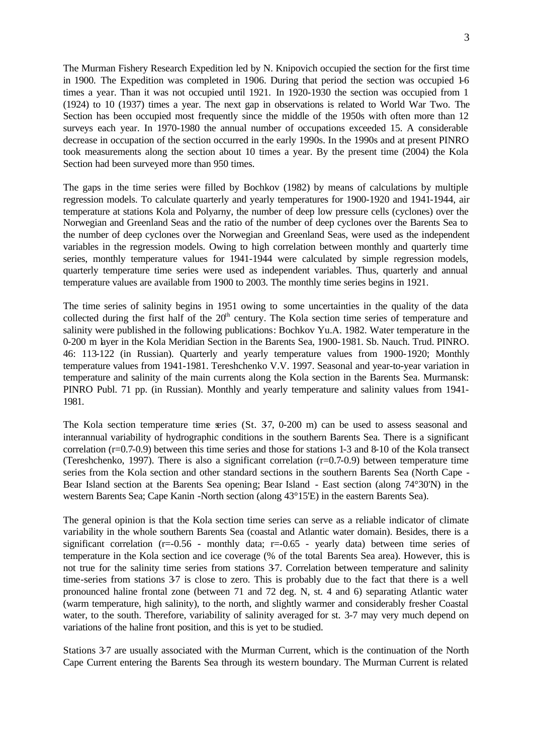The Murman Fishery Research Expedition led by N. Knipovich occupied the section for the first time in 1900. The Expedition was completed in 1906. During that period the section was occupied 1-6 times a year. Than it was not occupied until 1921. In 1920-1930 the section was occupied from 1 (1924) to 10 (1937) times a year. The next gap in observations is related to World War Two. The Section has been occupied most frequently since the middle of the 1950s with often more than 12 surveys each year. In 1970-1980 the annual number of occupations exceeded 15. A considerable decrease in occupation of the section occurred in the early 1990s. In the 1990s and at present PINRO took measurements along the section about 10 times a year. By the present time (2004) the Kola Section had been surveyed more than 950 times.

The gaps in the time series were filled by Bochkov (1982) by means of calculations by multiple regression models. To calculate quarterly and yearly temperatures for 1900-1920 and 1941-1944, air temperature at stations Kola and Polyarny, the number of deep low pressure cells (cyclones) over the Norwegian and Greenland Seas and the ratio of the number of deep cyclones over the Barents Sea to the number of deep cyclones over the Norwegian and Greenland Seas, were used as the independent variables in the regression models. Owing to high correlation between monthly and quarterly time series, monthly temperature values for 1941-1944 were calculated by simple regression models, quarterly temperature time series were used as independent variables. Thus, quarterly and annual temperature values are available from 1900 to 2003. The monthly time series begins in 1921.

The time series of salinity begins in 1951 owing to some uncertainties in the quality of the data collected during the first half of the  $20<sup>th</sup>$  century. The Kola section time series of temperature and salinity were published in the following publications: Bochkov Yu.A. 1982. Water temperature in the 0-200 m layer in the Kola Meridian Section in the Barents Sea, 1900-1981. Sb. Nauch. Trud. PINRO. 46: 113-122 (in Russian). Quarterly and yearly temperature values from 1900-1920; Monthly temperature values from 1941-1981. Tereshchenko V.V. 1997. Seasonal and year-to-year variation in temperature and salinity of the main currents along the Kola section in the Barents Sea. Murmansk: PINRO Publ. 71 pp. (in Russian). Monthly and yearly temperature and salinity values from 1941- 1981.

The Kola section temperature time series (St. 37, 0-200 m) can be used to assess seasonal and interannual variability of hydrographic conditions in the southern Barents Sea. There is a significant correlation (r=0.7-0.9) between this time series and those for stations 1-3 and 8-10 of the Kola transect (Tereshchenko, 1997). There is also a significant correlation (r=0.7-0.9) between temperature time series from the Kola section and other standard sections in the southern Barents Sea (North Cape - Bear Island section at the Barents Sea opening; Bear Island - East section (along 74°30'N) in the western Barents Sea; Cape Kanin -North section (along 43°15'E) in the eastern Barents Sea).

The general opinion is that the Kola section time series can serve as a reliable indicator of climate variability in the whole southern Barents Sea (coastal and Atlantic water domain). Besides, there is a significant correlation ( $r=0.56$  - monthly data;  $r=-0.65$  - yearly data) between time series of temperature in the Kola section and ice coverage (% of the total Barents Sea area). However, this is not true for the salinity time series from stations 3-7. Correlation between temperature and salinity time-series from stations 3-7 is close to zero. This is probably due to the fact that there is a well pronounced haline frontal zone (between 71 and 72 deg. N, st. 4 and 6) separating Atlantic water (warm temperature, high salinity), to the north, and slightly warmer and considerably fresher Coastal water, to the south. Therefore, variability of salinity averaged for st. 3-7 may very much depend on variations of the haline front position, and this is yet to be studied.

Stations 3-7 are usually associated with the Murman Current, which is the continuation of the North Cape Current entering the Barents Sea through its western boundary. The Murman Current is related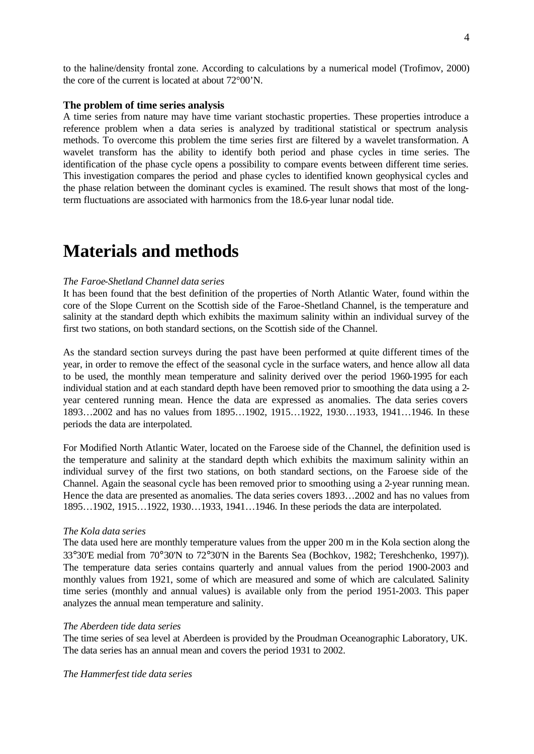to the haline/density frontal zone. According to calculations by a numerical model (Trofimov, 2000) the core of the current is located at about 72°00'N.

### **The problem of time series analysis**

A time series from nature may have time variant stochastic properties. These properties introduce a reference problem when a data series is analyzed by traditional statistical or spectrum analysis methods. To overcome this problem the time series first are filtered by a wavelet transformation. A wavelet transform has the ability to identify both period and phase cycles in time series. The identification of the phase cycle opens a possibility to compare events between different time series. This investigation compares the period and phase cycles to identified known geophysical cycles and the phase relation between the dominant cycles is examined. The result shows that most of the longterm fluctuations are associated with harmonics from the 18.6-year lunar nodal tide.

## **Materials and methods**

### *The Faroe-Shetland Channel data series*

It has been found that the best definition of the properties of North Atlantic Water, found within the core of the Slope Current on the Scottish side of the Faroe-Shetland Channel, is the temperature and salinity at the standard depth which exhibits the maximum salinity within an individual survey of the first two stations, on both standard sections, on the Scottish side of the Channel.

As the standard section surveys during the past have been performed at quite different times of the year, in order to remove the effect of the seasonal cycle in the surface waters, and hence allow all data to be used, the monthly mean temperature and salinity derived over the period 1960-1995 for each individual station and at each standard depth have been removed prior to smoothing the data using a 2 year centered running mean. Hence the data are expressed as anomalies. The data series covers 1893…2002 and has no values from 1895…1902, 1915…1922, 1930…1933, 1941…1946. In these periods the data are interpolated.

For Modified North Atlantic Water, located on the Faroese side of the Channel, the definition used is the temperature and salinity at the standard depth which exhibits the maximum salinity within an individual survey of the first two stations, on both standard sections, on the Faroese side of the Channel. Again the seasonal cycle has been removed prior to smoothing using a 2-year running mean. Hence the data are presented as anomalies. The data series covers 1893…2002 and has no values from 1895…1902, 1915…1922, 1930…1933, 1941…1946. In these periods the data are interpolated.

#### *The Kola data series*

The data used here are monthly temperature values from the upper 200 m in the Kola section along the 33°30'E medial from 70°30'N to 72°30'N in the Barents Sea (Bochkov, 1982; Tereshchenko, 1997)). The temperature data series contains quarterly and annual values from the period 1900-2003 and monthly values from 1921, some of which are measured and some of which are calculated. Salinity time series (monthly and annual values) is available only from the period 1951-2003. This paper analyzes the annual mean temperature and salinity.

#### *The Aberdeen tide data series*

The time series of sea level at Aberdeen is provided by the Proudman Oceanographic Laboratory, UK. The data series has an annual mean and covers the period 1931 to 2002.

*The Hammerfest tide data series*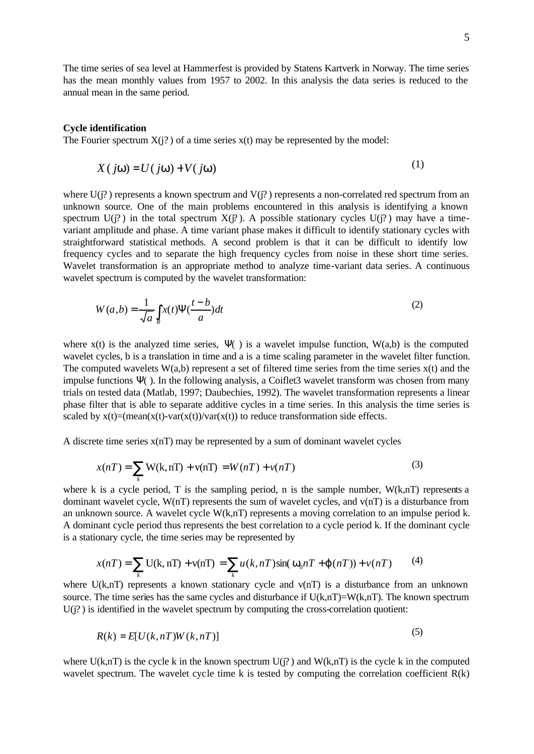The time series of sea level at Hammerfest is provided by Statens Kartverk in Norway. The time series has the mean monthly values from 1957 to 2002. In this analysis the data series is reduced to the annual mean in the same period.

#### **Cycle identification**

The Fourier spectrum  $X(j?)$  of a time series  $x(t)$  may be represented by the model:

$$
X(jw) = U(jw) + V(jw)
$$
 (1)

where  $U(i)$  represents a known spectrum and  $V(i)$  represents a non-correlated red spectrum from an unknown source. One of the main problems encountered in this analysis is identifying a known spectrum  $U(i)$  in the total spectrum  $X(i)$ . A possible stationary cycles  $U(i)$  may have a timevariant amplitude and phase. A time variant phase makes it difficult to identify stationary cycles with straightforward statistical methods. A second problem is that it can be difficult to identify low frequency cycles and to separate the high frequency cycles from noise in these short time series. Wavelet transformation is an appropriate method to analyze time-variant data series. A continuous wavelet spectrum is computed by the wavelet transformation:

$$
W(a,b) = \frac{1}{\sqrt{a}} \int_{R} x(t) \Psi(\frac{t-b}{a}) dt
$$
 (2)

where  $x(t)$  is the analyzed time series,  $\Psi$ ( ) is a wavelet impulse function,  $W(a,b)$  is the computed wavelet cycles, b is a translation in time and a is a time scaling parameter in the wavelet filter function. The computed wavelets  $W(a,b)$  represent a set of filtered time series from the time series  $x(t)$  and the impulse functions Ψ( ). In the following analysis, a Coiflet3 wavelet transform was chosen from many trials on tested data (Matlab, 1997; Daubechies, 1992). The wavelet transformation represents a linear phase filter that is able to separate additive cycles in a time series. In this analysis the time series is scaled by  $x(t)=(mean(x(t)-var(x(t))/var(x(t)))$  to reduce transformation side effects.

A discrete time series  $x(n)$  may be represented by a sum of dominant wavelet cycles

$$
x(nT) = \sum_{k} W(k, nT) + v(nT) = W(nT) + v(nT)
$$
\n(3)

where k is a cycle period, T is the sampling period, n is the sample number,  $W(k,nT)$  represents a dominant wavelet cycle, W(nT) represents the sum of wavelet cycles, and v(nT) is a disturbance from an unknown source. A wavelet cycle W(k,nT) represents a moving correlation to an impulse period k. A dominant cycle period thus represents the best correlation to a cycle period k. If the dominant cycle is a stationary cycle, the time series may be represented by

$$
x(nT) = \sum_{k} U(k, nT) + v(nT) = \sum_{k} u(k, nT) \sin(\mathbf{w}_0 nT + \mathbf{j}(nT)) + v(nT) \tag{4}
$$

where  $U(k,nT)$  represents a known stationary cycle and  $V(nT)$  is a disturbance from an unknown source. The time series has the same cycles and disturbance if  $U(k,nT)=W(k,nT)$ . The known spectrum  $U(i)$  is identified in the wavelet spectrum by computing the cross-correlation quotient:

$$
R(k) = E[U(k, nT)W(k, nT)]
$$
\n<sup>(5)</sup>

where  $U(k,nT)$  is the cycle k in the known spectrum  $U(i)$  and  $W(k,nT)$  is the cycle k in the computed wavelet spectrum. The wavelet cycle time k is tested by computing the correlation coefficient  $R(k)$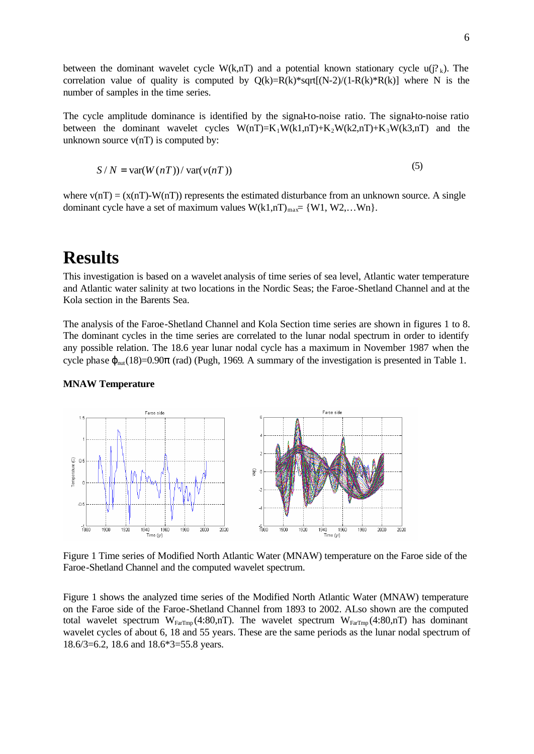between the dominant wavelet cycle W(k,nT) and a potential known stationary cycle  $u(j^2)_k$ . The correlation value of quality is computed by  $Q(k)=R(k)*sqrt[(N-2)/(1-R(k)*R(k)]$  where N is the number of samples in the time series.

The cycle amplitude dominance is identified by the signal-to-noise ratio. The signal-to-noise ratio between the dominant wavelet cycles  $W(nT)=K_1W(k1,nT)+K_2W(k2,nT)+K_3W(k3,nT)$  and the unknown source  $v(nT)$  is computed by:

$$
S/N = \text{var}(W(nT)) / \text{var}(v(nT))
$$
\n(5)

where  $v(nT) = (x(nT)-W(nT))$  represents the estimated disturbance from an unknown source. A single dominant cycle have a set of maximum values  $W(k1,nT)_{max} = \{W1, W2,...Wn\}.$ 

## **Results**

This investigation is based on a wavelet analysis of time series of sea level, Atlantic water temperature and Atlantic water salinity at two locations in the Nordic Seas; the Faroe-Shetland Channel and at the Kola section in the Barents Sea.

The analysis of the Faroe-Shetland Channel and Kola Section time series are shown in figures 1 to 8. The dominant cycles in the time series are correlated to the lunar nodal spectrum in order to identify any possible relation. The 18.6 year lunar nodal cycle has a maximum in November 1987 when the cycle phase  $\varphi_{\text{nut}}(18)=0.90\pi$  (rad) (Pugh, 1969. A summary of the investigation is presented in Table 1.



#### **MNAW Temperature**

Figure 1 Time series of Modified North Atlantic Water (MNAW) temperature on the Faroe side of the Faroe-Shetland Channel and the computed wavelet spectrum.

Figure 1 shows the analyzed time series of the Modified North Atlantic Water (MNAW) temperature on the Faroe side of the Faroe-Shetland Channel from 1893 to 2002. ALso shown are the computed total wavelet spectrum W<sub>FarTmp</sub> (4:80,nT). The wavelet spectrum W<sub>FarTmp</sub> (4:80,nT) has dominant wavelet cycles of about 6, 18 and 55 years. These are the same periods as the lunar nodal spectrum of 18.6/3=6.2, 18.6 and 18.6\*3=55.8 years.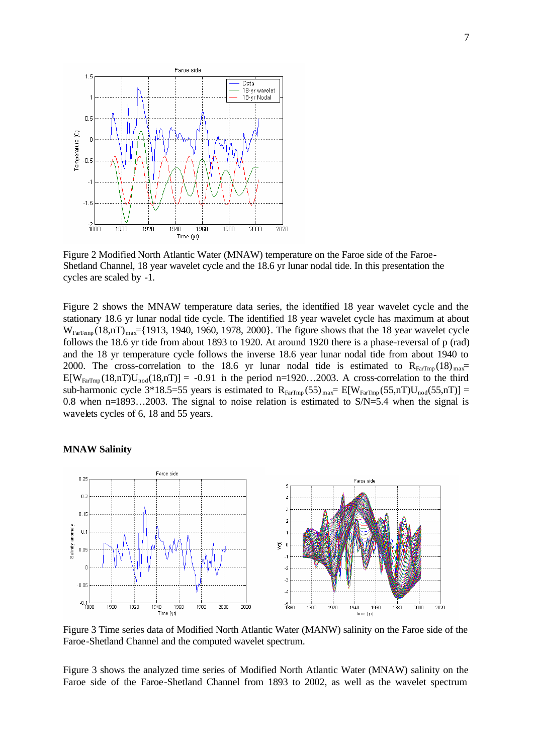

Figure 2 Modified North Atlantic Water (MNAW) temperature on the Faroe side of the Faroe-Shetland Channel, 18 year wavelet cycle and the 18.6 yr lunar nodal tide. In this presentation the cycles are scaled by -1.

Figure 2 shows the MNAW temperature data series, the identified 18 year wavelet cycle and the stationary 18.6 yr lunar nodal tide cycle. The identified 18 year wavelet cycle has maximum at about  $W_{FarTemp} (18, nT)_{max}$ ={1913, 1940, 1960, 1978, 2000}. The figure shows that the 18 year wavelet cycle follows the 18.6 yr tide from about 1893 to 1920. At around 1920 there is a phase-reversal of p (rad) and the 18 yr temperature cycle follows the inverse 18.6 year lunar nodal tide from about 1940 to 2000. The cross-correlation to the 18.6 yr lunar nodal tide is estimated to  $R_{FarTmp}$  (18)  $_{max}$ =  $E[W_{FarTmn}(18,nT)U_{nod}(18,nT)] = -0.91$  in the period n=1920...2003. A cross-correlation to the third sub-harmonic cycle 3\*18.5=55 years is estimated to  $R_{FarTmp}(55)_{max} = E[W_{FarTmp}(55, nT)U_{nod}(55, nT)] =$ 0.8 when n=1893…2003. The signal to noise relation is estimated to S/N=5.4 when the signal is wavelets cycles of 6, 18 and 55 years.



#### **MNAW Salinity**

Figure 3 Time series data of Modified North Atlantic Water (MANW) salinity on the Faroe side of the Faroe-Shetland Channel and the computed wavelet spectrum.

Figure 3 shows the analyzed time series of Modified North Atlantic Water (MNAW) salinity on the Faroe side of the Faroe-Shetland Channel from 1893 to 2002, as well as the wavelet spectrum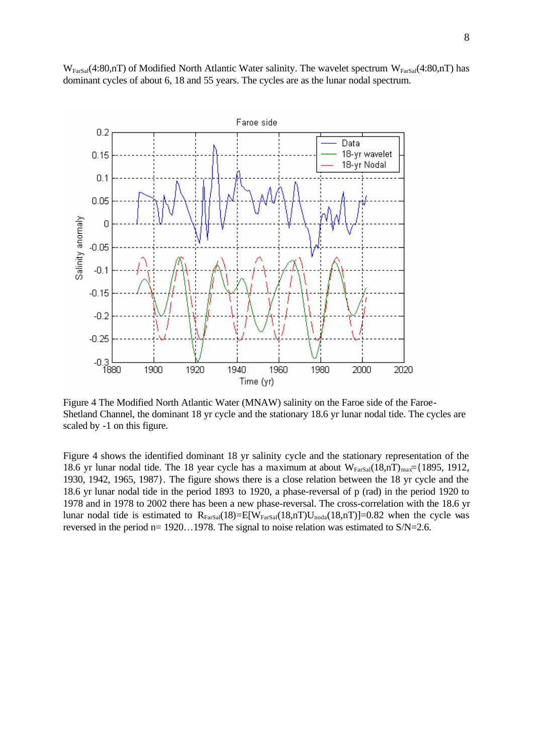

 $W_{\text{FarSal}}(4:80,n)$  of Modified North Atlantic Water salinity. The wavelet spectrum  $W_{\text{FarSal}}(4:80,n)$  has dominant cycles of about 6, 18 and 55 years. The cycles are as the lunar nodal spectrum.

Figure 4 The Modified North Atlantic Water (MNAW) salinity on the Faroe side of the Faroe-Shetland Channel, the dominant 18 yr cycle and the stationary 18.6 yr lunar nodal tide. The cycles are scaled by -1 on this figure.

Figure 4 shows the identified dominant 18 yr salinity cycle and the stationary representation of the 18.6 yr lunar nodal tide. The 18 year cycle has a maximum at about  $W_{\text{FarSal}}(18,n)$ <sub>max</sub>={1895, 1912,} 1930, 1942, 1965, 1987}. The figure shows there is a close relation between the 18 yr cycle and the 18.6 yr lunar nodal tide in the period 1893 to 1920, a phase-reversal of p (rad) in the period 1920 to 1978 and in 1978 to 2002 there has been a new phase-reversal. The cross-correlation with the 18.6 yr lunar nodal tide is estimated to  $R_{Farsal}(18)=E[W_{Farsal}(18,nT)U_{noda}(18,nT)]=0.82$  when the cycle was reversed in the period n= 1920…1978. The signal to noise relation was estimated to S/N=2.6.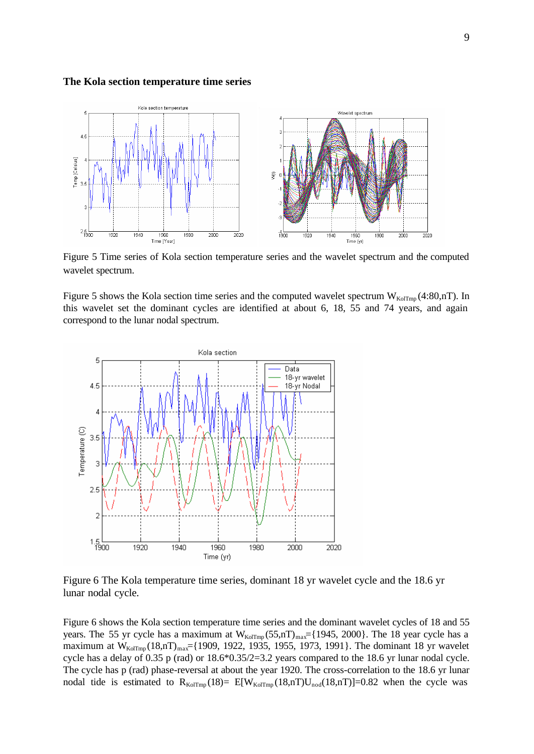#### **The Kola section temperature time series**



Figure 5 Time series of Kola section temperature series and the wavelet spectrum and the computed wavelet spectrum.

Figure 5 shows the Kola section time series and the computed wavelet spectrum  $W_{KolTmp}(4:80,nT)$ . In this wavelet set the dominant cycles are identified at about 6, 18, 55 and 74 years, and again correspond to the lunar nodal spectrum.



Figure 6 The Kola temperature time series, dominant 18 yr wavelet cycle and the 18.6 yr lunar nodal cycle.

Figure 6 shows the Kola section temperature time series and the dominant wavelet cycles of 18 and 55 years. The 55 yr cycle has a maximum at  $W_{\text{KolTmp}}(55,\text{nT})_{\text{max}}=[1945, 2000]$ . The 18 year cycle has a maximum at  $W_{KolTmp}$  (18,nT)<sub>max</sub>={1909, 1922, 1935, 1955, 1973, 1991}. The dominant 18 yr wavelet cycle has a delay of 0.35 p (rad) or 18.6\*0.35/2=3.2 years compared to the 18.6 yr lunar nodal cycle. The cycle has p (rad) phase-reversal at about the year 1920. The cross-correlation to the 18.6 yr lunar nodal tide is estimated to  $R_{KolTmp}$  (18)=  $E[W_{KolTmp}$  (18,nT)U<sub>nod</sub> (18,nT)]=0.82 when the cycle was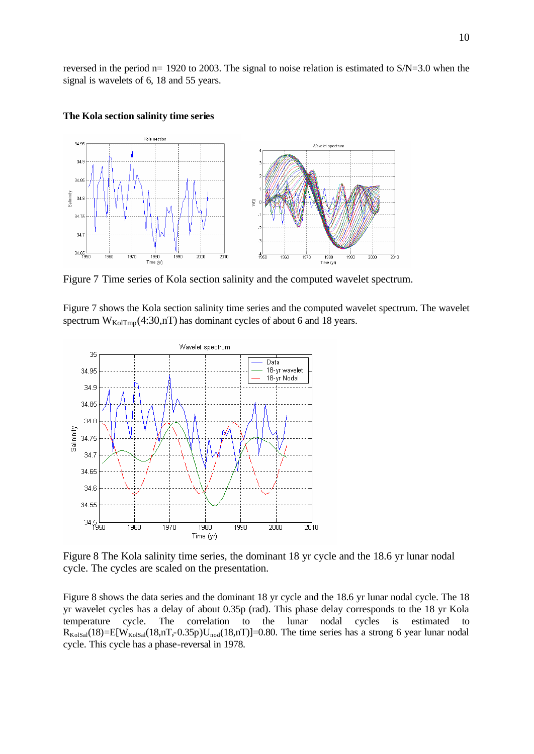reversed in the period n= 1920 to 2003. The signal to noise relation is estimated to S/N=3.0 when the signal is wavelets of 6, 18 and 55 years.



### **The Kola section salinity time series**

Figure 7 Time series of Kola section salinity and the computed wavelet spectrum.

Figure 7 shows the Kola section salinity time series and the computed wavelet spectrum. The wavelet spectrum  $W_{\text{KolTmp}}(4:30,\text{nT})$  has dominant cycles of about 6 and 18 years.



Figure 8 The Kola salinity time series, the dominant 18 yr cycle and the 18.6 yr lunar nodal cycle. The cycles are scaled on the presentation.

Figure 8 shows the data series and the dominant 18 yr cycle and the 18.6 yr lunar nodal cycle. The 18 yr wavelet cycles has a delay of about 0.35p (rad). This phase delay corresponds to the 18 yr Kola temperature cycle. The correlation to the lunar nodal cycles is estimated to  $R_{\text{KolSal}}(18) = E[W_{\text{KolSal}}(18,nT,-0.35p)U_{\text{nod}}(18,nT)] = 0.80$ . The time series has a strong 6 year lunar nodal cycle. This cycle has a phase-reversal in 1978.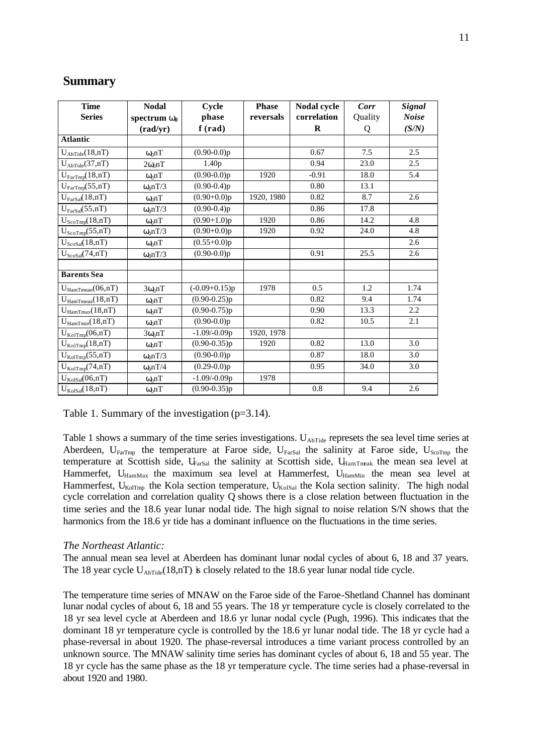| <b>Time</b>                       | <b>Nodal</b>                                | Cycle             | <b>Phase</b> | Nodal cycle | Corr    | Signal       |
|-----------------------------------|---------------------------------------------|-------------------|--------------|-------------|---------|--------------|
| <b>Series</b>                     | spectrum $W_0$                              | phase             | reversals    | correlation | Quality | <b>Noise</b> |
|                                   | $\left(\frac{\text{rad}}{\text{yr}}\right)$ | f(rad)            |              | $\bf{R}$    | Q       | (S/N)        |
| <b>Atlantic</b>                   |                                             |                   |              |             |         |              |
| $U_{\text{AbTide}}(18,\!nT)$      | $\omega_0 nT$                               | $(0.90-0.0)p$     |              | 0.67        | 7.5     | 2.5          |
| $U_{\text{AbTide}}(37,\text{nT})$ | $2\omega_0$ nT                              | 1.40 <sub>p</sub> |              | 0.94        | 23.0    | 2.5          |
| $U_{FarTmp}(18, nT)$              | $\omega_0$ nT                               | $(0.90-0.0)p$     | 1920         | $-0.91$     | 18.0    | 5.4          |
| $U_{FarTmp}(55, nT)$              | $\omega_0 nT/3$                             | $(0.90-0.4)p$     |              | 0.80        | 13.1    |              |
| $U_{\text{FarSal}}(18,\text{nT})$ | $\omega_0$ nT                               | $(0.90+0.0)p$     | 1920, 1980   | 0.82        | 8.7     | 2.6          |
| $U_{\text{FarSal}}(55,\text{nT})$ | $\omega_0 nT/3$                             | $(0.90-0.4)p$     |              | 0.86        | 17.8    |              |
| $U_{ScoTmp}(18,nT)$               | $\omega_0$ nT                               | $(0.90+1.0)p$     | 1920         | 0.86        | 14.2    | 4.8          |
| $U_{ScoTmp}(55,nT)$               | $\omega_0 nT/3$                             | $(0.90+0.0)p$     | 1920         | 0.92        | 24.0    | 4.8          |
| $U_{ScoSal}(18,nT)$               | $\omega_0 nT$                               | $(0.55+0.0)p$     |              |             |         | 2.6          |
| $U_{ScoSal}(74, nT)$              | $\omega_0 nT/3$                             | $(0.90-0.0)p$     |              | 0.91        | 25.5    | 2.6          |
|                                   |                                             |                   |              |             |         |              |
| <b>Barents</b> Sea                |                                             |                   |              |             |         |              |
| $U_{HamTmean}(06, nT)$            | $3\omega_0$ nT                              | $(-0.09+0.15)p$   | 1978         | 0.5         | 1.2     | 1.74         |
| $U_{\text{HamTmean}}(18, nT)$     | $\omega_0$ nT                               | $(0.90 - 0.25)p$  |              | 0.82        | 9.4     | 1.74         |
| $U_{\text{HamTmax}}(18, nT)$      | $\omega_0$ nT                               | $(0.90 - 0.75)p$  |              | 0.90        | 13.3    | 2.2          |
| $U_{\text{HamTmin}}(18, nT)$      | $\omega_0$ nT                               | $(0.90-0.0)p$     |              | 0.82        | 10.5    | 2.1          |
| $U_{\text{KolTmp}}(06,\text{nT})$ | $3\omega_0$ nT                              | $-1.09/-0.09p$    | 1920, 1978   |             |         |              |
| $U_{\text{KolTmp}}(18,\text{nT})$ | $\omega_0$ nT                               | $(0.90 - 0.35)p$  | 1920         | 0.82        | 13.0    | 3.0          |
| $U_{\text{KolTmp}}(55,\text{nT})$ | $\omega_0 nT/3$                             | $(0.90-0.0)p$     |              | 0.87        | 18.0    | 3.0          |
| $U_{\text{KolTmp}}(74,\text{nT})$ | $\omega_0 nT/4$                             | $(0.29-0.0)p$     |              | 0.95        | 34.0    | 3.0          |
| $U_{KolSal}(06,nT)$               | $\omega_0$ nT                               | $-1.09/-0.09p$    | 1978         |             |         |              |
| $U_{KolSal}(18,nT)$               | $\omega_0$ nT                               | $(0.90 - 0.35)p$  |              | $0.8\,$     | 9.4     | 2.6          |

## **Summary**

Table 1. Summary of the investigation (p=3.14).

Table 1 shows a summary of the time series investigations. U<sub>AbTide</sub> represets the sea level time series at Aberdeen,  $U_{FarTmp}$  the temperature at Faroe side,  $U_{FarSal}$  the salinity at Faroe side,  $U_{ScoTmp}$  the temperature at Scottish side, U<sub>FarSal</sub> the salinity at Scottish side, U<sub>HamTmeak</sub> the mean sea level at Hammerfet, U<sub>HamMax</sub> the maximum sea level at Hammerfest, U<sub>HamMin</sub> the mean sea level at Hammerfest,  $U_{\text{KolTmp}}$  the Kola section temperature,  $U_{\text{KolSal}}$  the Kola section salinity. The high nodal cycle correlation and correlation quality Q shows there is a close relation between fluctuation in the time series and the 18.6 year lunar nodal tide. The high signal to noise relation S/N shows that the harmonics from the 18.6 yr tide has a dominant influence on the fluctuations in the time series.

### *The Northeast Atlantic:*

The annual mean sea level at Aberdeen has dominant lunar nodal cycles of about 6, 18 and 37 years. The 18 year cycle  $U_{\text{AbTide}}(18, nT)$  is closely related to the 18.6 year lunar nodal tide cycle.

The temperature time series of MNAW on the Faroe side of the Faroe-Shetland Channel has dominant lunar nodal cycles of about 6, 18 and 55 years. The 18 yr temperature cycle is closely correlated to the 18 yr sea level cycle at Aberdeen and 18.6 yr lunar nodal cycle (Pugh, 1996). This indicates that the dominant 18 yr temperature cycle is controlled by the 18.6 yr lunar nodal tide. The 18 yr cycle had a phase-reversal in about 1920. The phase-reversal introduces a time variant process controlled by an unknown source. The MNAW salinity time series has dominant cycles of about 6, 18 and 55 year. The 18 yr cycle has the same phase as the 18 yr temperature cycle. The time series had a phase-reversal in about 1920 and 1980.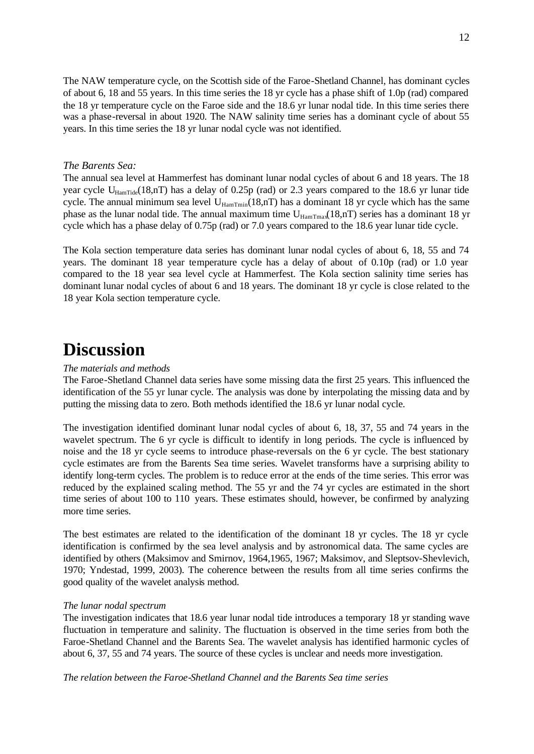The NAW temperature cycle, on the Scottish side of the Faroe-Shetland Channel, has dominant cycles of about 6, 18 and 55 years. In this time series the 18 yr cycle has a phase shift of 1.0p (rad) compared the 18 yr temperature cycle on the Faroe side and the 18.6 yr lunar nodal tide. In this time series there was a phase-reversal in about 1920. The NAW salinity time series has a dominant cycle of about 55 years. In this time series the 18 yr lunar nodal cycle was not identified.

#### *The Barents Sea:*

The annual sea level at Hammerfest has dominant lunar nodal cycles of about 6 and 18 years. The 18 year cycle U<sub>HamTide</sub>(18,nT) has a delay of 0.25p (rad) or 2.3 years compared to the 18.6 yr lunar tide cycle. The annual minimum sea level  $U_{\text{HamTmin}}(18,n)$  has a dominant 18 yr cycle which has the same phase as the lunar nodal tide. The annual maximum time  $U_{\text{HamTma}}(18, nT)$  series has a dominant 18 yr cycle which has a phase delay of 0.75p (rad) or 7.0 years compared to the 18.6 year lunar tide cycle.

The Kola section temperature data series has dominant lunar nodal cycles of about 6, 18, 55 and 74 years. The dominant 18 year temperature cycle has a delay of about of 0.10p (rad) or 1.0 year compared to the 18 year sea level cycle at Hammerfest. The Kola section salinity time series has dominant lunar nodal cycles of about 6 and 18 years. The dominant 18 yr cycle is close related to the 18 year Kola section temperature cycle.

## **Discussion**

#### *The materials and methods*

The Faroe-Shetland Channel data series have some missing data the first 25 years. This influenced the identification of the 55 yr lunar cycle. The analysis was done by interpolating the missing data and by putting the missing data to zero. Both methods identified the 18.6 yr lunar nodal cycle.

The investigation identified dominant lunar nodal cycles of about 6, 18, 37, 55 and 74 years in the wavelet spectrum. The 6 yr cycle is difficult to identify in long periods. The cycle is influenced by noise and the 18 yr cycle seems to introduce phase-reversals on the 6 yr cycle. The best stationary cycle estimates are from the Barents Sea time series. Wavelet transforms have a surprising ability to identify long-term cycles. The problem is to reduce error at the ends of the time series. This error was reduced by the explained scaling method. The 55 yr and the 74 yr cycles are estimated in the short time series of about 100 to 110 years. These estimates should, however, be confirmed by analyzing more time series.

The best estimates are related to the identification of the dominant 18 yr cycles. The 18 yr cycle identification is confirmed by the sea level analysis and by astronomical data. The same cycles are identified by others (Maksimov and Smirnov, 1964,1965, 1967; Maksimov, and Sleptsov-Shevlevich, 1970; Yndestad, 1999, 2003). The coherence between the results from all time series confirms the good quality of the wavelet analysis method.

#### *The lunar nodal spectrum*

The investigation indicates that 18.6 year lunar nodal tide introduces a temporary 18 yr standing wave fluctuation in temperature and salinity. The fluctuation is observed in the time series from both the Faroe-Shetland Channel and the Barents Sea. The wavelet analysis has identified harmonic cycles of about 6, 37, 55 and 74 years. The source of these cycles is unclear and needs more investigation.

*The relation between the Faroe-Shetland Channel and the Barents Sea time series*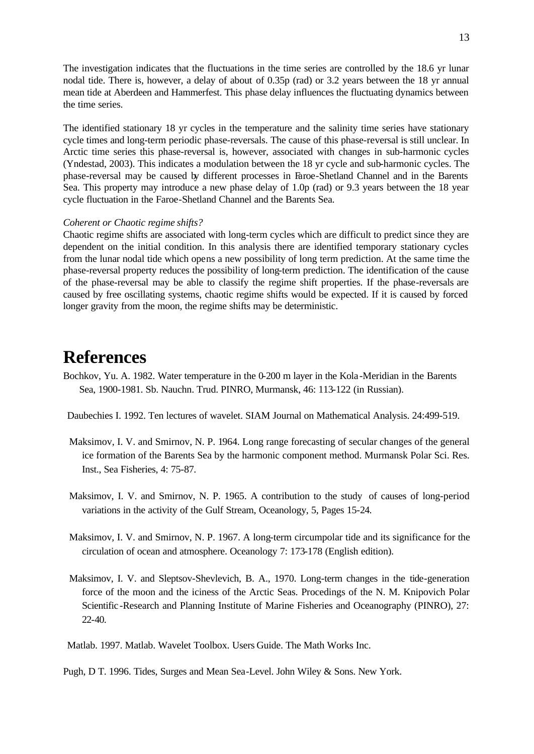The investigation indicates that the fluctuations in the time series are controlled by the 18.6 yr lunar nodal tide. There is, however, a delay of about of 0.35p (rad) or 3.2 years between the 18 yr annual mean tide at Aberdeen and Hammerfest. This phase delay influences the fluctuating dynamics between the time series.

The identified stationary 18 yr cycles in the temperature and the salinity time series have stationary cycle times and long-term periodic phase-reversals. The cause of this phase-reversal is still unclear. In Arctic time series this phase-reversal is, however, associated with changes in sub-harmonic cycles (Yndestad, 2003). This indicates a modulation between the 18 yr cycle and sub-harmonic cycles. The phase-reversal may be caused by different processes in Faroe-Shetland Channel and in the Barents Sea. This property may introduce a new phase delay of 1.0p (rad) or 9.3 years between the 18 year cycle fluctuation in the Faroe-Shetland Channel and the Barents Sea.

#### *Coherent or Chaotic regime shifts?*

Chaotic regime shifts are associated with long-term cycles which are difficult to predict since they are dependent on the initial condition. In this analysis there are identified temporary stationary cycles from the lunar nodal tide which opens a new possibility of long term prediction. At the same time the phase-reversal property reduces the possibility of long-term prediction. The identification of the cause of the phase-reversal may be able to classify the regime shift properties. If the phase-reversals are caused by free oscillating systems, chaotic regime shifts would be expected. If it is caused by forced longer gravity from the moon, the regime shifts may be deterministic.

## **References**

Bochkov, Yu. A. 1982. Water temperature in the 0-200 m layer in the Kola-Meridian in the Barents Sea, 1900-1981. Sb. Nauchn. Trud. PINRO, Murmansk, 46: 113-122 (in Russian).

Daubechies I. 1992. Ten lectures of wavelet. SIAM Journal on Mathematical Analysis. 24:499-519.

- Maksimov, I. V. and Smirnov, N. P. 1964. Long range forecasting of secular changes of the general ice formation of the Barents Sea by the harmonic component method. Murmansk Polar Sci. Res. Inst., Sea Fisheries, 4: 75-87.
- Maksimov, I. V. and Smirnov, N. P. 1965. A contribution to the study of causes of long-period variations in the activity of the Gulf Stream, Oceanology, 5, Pages 15-24.
- Maksimov, I. V. and Smirnov, N. P. 1967. A long-term circumpolar tide and its significance for the circulation of ocean and atmosphere. Oceanology 7: 173-178 (English edition).
- Maksimov, I. V. and Sleptsov-Shevlevich, B. A., 1970. Long-term changes in the tide-generation force of the moon and the iciness of the Arctic Seas. Procedings of the N. M. Knipovich Polar Scientific-Research and Planning Institute of Marine Fisheries and Oceanography (PINRO), 27: 22-40.

Matlab. 1997. Matlab. Wavelet Toolbox. Users Guide. The Math Works Inc.

Pugh, D T. 1996. Tides, Surges and Mean Sea-Level. John Wiley & Sons. New York.